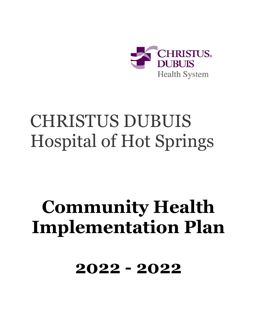

# CHRISTUS DUBUIS Hospital of Hot Springs

# **Community Health Implementation Plan**

**2022 - 2022**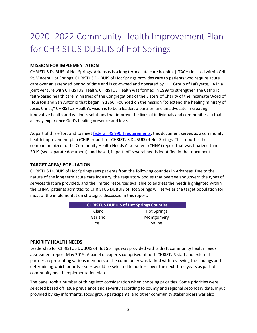# 2020 -2022 Community Health Improvement Plan for CHRISTUS DUBUIS of Hot Springs

#### **MISSION FOR IMPLEMENTATION**

CHRISTUS DUBUIS of Hot Springs, Arkansas is a long term acute care hospital (LTACH) located within CHI St. Vincent Hot Springs. CHRISTUS DUBUIS of Hot Springs provides care to patients who require acute care over an extended period of time and is co-owned and operated by LHC Group of Lafayette, LA in a joint venture with CHRISTUS Health. CHRISTUS Health was formed in 1999 to strengthen the Catholic faith-based health care ministries of the Congregations of the Sisters of Charity of the Incarnate Word of Houston and San Antonio that began in 1866. Founded on the mission "to extend the healing ministry of Jesus Christ," CHRISTUS Health's vision is to be a leader, a partner, and an advocate in creating innovative health and wellness solutions that improve the lives of individuals and communities so that all may experience God's healing presence and love.

As part of this effort and to meet [federal IRS 990H requirements,](https://www.irs.gov/uac/About-Schedule-H-Form-990) this document serves as a community health improvement plan (CHIP) report for CHRISTUS DUBUIS of Hot Springs. This report is the companion piece to the Community Health Needs Assessment (CHNA) report that was finalized June 2019 (see separate document), and based, in part, off several needs identified in that document.

### **TARGET AREA/ POPULATION**

CHRISTUS DUBUIS of Hot Springs sees patients from the following counties in Arkansas. Due to the nature of the long term acute care industry, the regulatory bodies that oversee and govern the types of services that are provided, and the limited resources available to address the needs highlighted within the CHNA, patients admitted to CHRISTUS DUBUIS of Hot Springs will serve as the target population for most of the implementation strategies discussed in this report.

| <b>CHRISTUS DUBUIS of Hot Springs Counties</b> |                    |
|------------------------------------------------|--------------------|
| Clark                                          | <b>Hot Springs</b> |
| Garland                                        | Montgomery         |
| Yell                                           | Saline             |

#### **PRIORITY HEALTH NEEDS**

Leadership for CHRISTUS DUBUIS of Hot Springs was provided with a draft community health needs assessment report May 2019. A panel of experts comprised of both CHRISTUS staff and external partners representing various members of the community was tasked with reviewing the findings and determining which priority issues would be selected to address over the next three years as part of a community health implementation plan.

The panel took a number of things into consideration when choosing priorities. Some priorities were selected based off issue prevalence and severity according to county and regional secondary data. Input provided by key informants, focus group participants, and other community stakeholders was also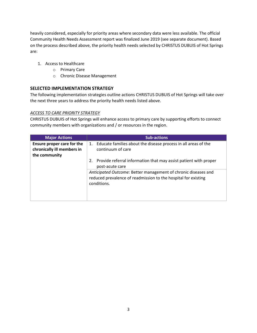heavily considered, especially for priority areas where secondary data were less available. The official Community Health Needs Assessment report was finalized June 2019 (see separate document). Based on the process described above, the priority health needs selected by CHRISTUS DUBUIS of Hot Springs are:

- 1. Access to Healthcare
	- o Primary Care
	- o Chronic Disease Management

### **SELECTED IMPLEMENTATION STRATEGY**

The following implementation strategies outline actions CHRISTUS DUBUIS of Hot Springs will take over the next three years to address the priority health needs listed above.

#### *ACCESS TO CARE PRIORITY STRATEGY*

CHRISTUS DUBUIS of Hot Springs will enhance access to primary care by supporting efforts to connect community members with organizations and / or resources in the region.

| <b>Major Actions</b>                                                      | <b>Sub-actions</b>                                                                                                                              |
|---------------------------------------------------------------------------|-------------------------------------------------------------------------------------------------------------------------------------------------|
| Ensure proper care for the<br>chronically ill members in<br>the community | Educate families about the disease process in all areas of the<br>1.<br>continuum of care                                                       |
|                                                                           | Provide referral information that may assist patient with proper<br>2.<br>post-acute care                                                       |
|                                                                           | Anticipated Outcome: Better management of chronic diseases and<br>reduced prevalence of readmission to the hospital for existing<br>conditions. |